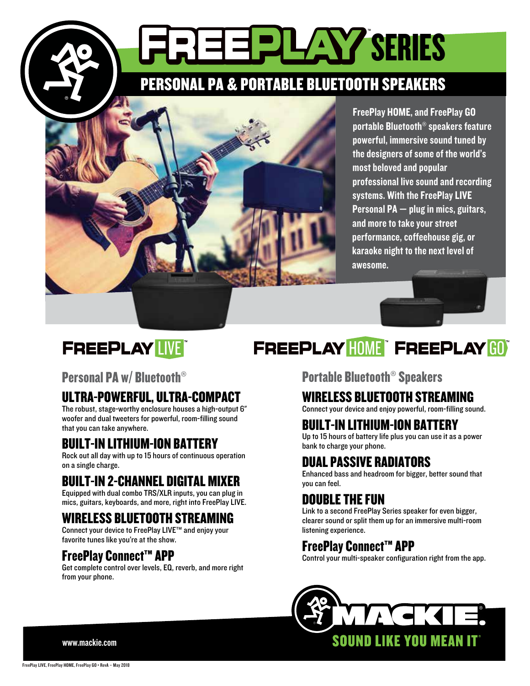PERSONAL PA & PORTABLE BLUETOOTH SPEAKERS

**ETERILAY SERIES** 



FreePlay HOME, and FreePlay GO portable Bluetooth® speakers feature powerful, immersive sound tuned by the designers of some of the world's most beloved and popular professional live sound and recording systems. With the FreePlay LIVE Personal PA — plug in mics, guitars, and more to take your street performance, coffeehouse gig, or karaoke night to the next level of awesome.

# **FREEPLAY LIVE**

## Personal PA w/ Bluetooth®

## ULTRA-POWERFUL, ULTRA-COMPACT

The robust, stage-worthy enclosure houses a high-output 6" woofer and dual tweeters for powerful, room-filling sound that you can take anywhere.

## BUILT-IN LITHIUM-ION BATTERY

Rock out all day with up to 15 hours of continuous operation on a single charge.

## BUILT-IN 2-CHANNEL DIGITAL MIXER

Equipped with dual combo TRS/XLR inputs, you can plug in mics, guitars, keyboards, and more, right into FreePlay LIVE.

## WIRELESS BLUETOOTH STREAMING

Connect your device to FreePlay LIVE™ and enjoy your favorite tunes like you're at the show.

## FreePlay Connect™ APP

Get complete control over levels, EQ, reverb, and more right from your phone.

# FREEPLAY HOME" FREEPLAY GOT

## Portable Bluetooth® Speakers

### WIRELESS BLUETOOTH STREAMING

Connect your device and enjoy powerful, room-filling sound.

## BUILT-IN LITHIUM-ION BATTERY

Up to 15 hours of battery life plus you can use it as a power bank to charge your phone.

## DUAL PASSIVE RADIATORS

Enhanced bass and headroom for bigger, better sound that you can feel.

## DOUBLE THE FUN

Link to a second FreePlay Series speaker for even bigger, clearer sound or split them up for an immersive multi-room listening experience.

## FreePlay Connect™ APP

Control your multi-speaker configuration right from the app.



www.mackie.com